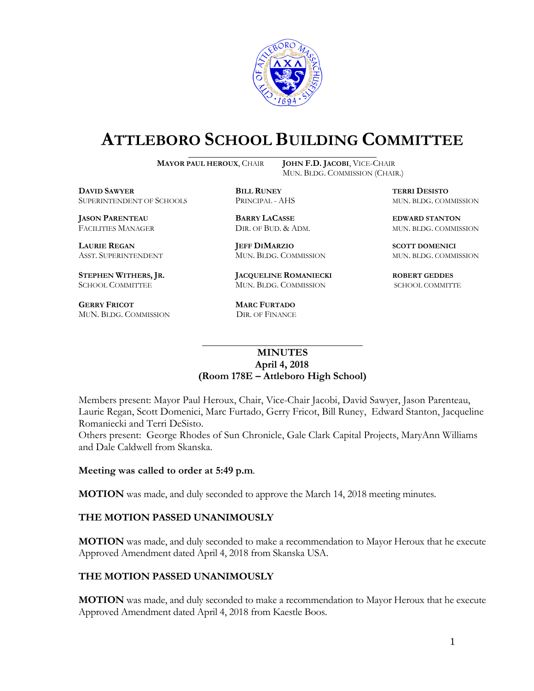

# **ATTLEBORO SCHOOL BUILDING COMMITTEE**

**MAYOR PAUL HEROUX**, CHAIR **JOHN F.D. JACOBI**, VICE-CHAIR

MUN. BLDG. COMMISSION (CHAIR.)

**DAVID SAWYER BILL RUNEY TERRI DESISTO** SUPERINTENDENT OF SCHOOLS PRINCIPAL - AHS MUN. BLDG. COMMISSION

**JASON PARENTEAU BARRY LACASSE EDWARD STANTON**

**GERRY FRICOT MARC FURTADO**  MUN. BLDG. COMMISSION DIR. OF FINANCE

**LAURIE REGAN JEFF DIMARZIO SCOTT DOMENICI** ASST. SUPERINTENDENT MUN. BLDG. COMMISSION MUN. BLDG. COMMISSION

**STEPHEN WITHERS, JR. JACQUELINE ROMANIECKI ROBERT GEDDES** SCHOOL COMMITTEE MUN. BLDG. COMMISSION SCHOOL COMMITTE

FACILITIES MANAGER DIR. OF BUD. & ADM. MUN. BLDG. COMMISSION

### **MINUTES April 4, 2018 (Room 178E – Attleboro High School)**

\_\_\_\_\_\_\_\_\_\_\_\_\_\_\_\_\_\_\_\_\_\_\_\_\_\_\_\_\_\_\_\_\_\_\_\_\_

Members present: Mayor Paul Heroux, Chair, Vice-Chair Jacobi, David Sawyer, Jason Parenteau, Laurie Regan, Scott Domenici, Marc Furtado, Gerry Fricot, Bill Runey, Edward Stanton, Jacqueline Romaniecki and Terri DeSisto.

Others present: George Rhodes of Sun Chronicle, Gale Clark Capital Projects, MaryAnn Williams and Dale Caldwell from Skanska.

#### **Meeting was called to order at 5:49 p.m**.

**MOTION** was made, and duly seconded to approve the March 14, 2018 meeting minutes.

#### **THE MOTION PASSED UNANIMOUSLY**

**MOTION** was made, and duly seconded to make a recommendation to Mayor Heroux that he execute Approved Amendment dated April 4, 2018 from Skanska USA.

#### **THE MOTION PASSED UNANIMOUSLY**

**MOTION** was made, and duly seconded to make a recommendation to Mayor Heroux that he execute Approved Amendment dated April 4, 2018 from Kaestle Boos.